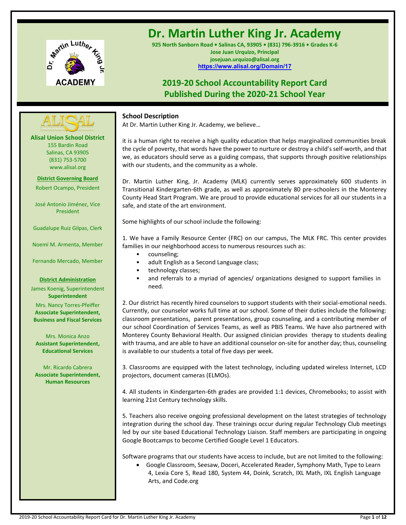

# **Dr. Martin Luther King Jr. Academy**

**925 North Sanborn Road • Salinas CA, 93905 • (831) 796-3916 • Grades K-6 Jose Juan Urquizo, Principal josejuan.urquizo@alisal.org <https://www.alisal.org/Domain/17>**

## **2019-20 School Accountability Report Card Published During the 2020-21 School Year**



At Dr. Martin Luther King Jr. Academy, we believe…

it is a human right to receive a high quality education that helps marginalized communities break the cycle of poverty, that words have the power to nurture or destroy a child's self-worth, and that we, as educators should serve as a guiding compass, that supports through positive relationships with our students, and the community as a whole.

Dr. Martin Luther King, Jr. Academy (MLK) currently serves approximately 600 students in Transitional Kindergarten-6th grade, as well as approximately 80 pre-schoolers in the Monterey County Head Start Program. We are proud to provide educational services for all our students in a safe, and state of the art environment.

Some highlights of our school include the following:

1. We have a Family Resource Center (FRC) on our campus, The MLK FRC. This center provides families in our neighborhood access to numerous resources such as:

- counseling;
- adult English as a Second Language class;
- technology classes;
- and referrals to a myriad of agencies/ organizations designed to support families in need.

2. Our district has recently hired counselors to support students with their social-emotional needs. Currently, our counselor works full time at our school. Some of their duties include the following: classroom presentations, parent presentations, group counseling, and a contributing member of our school Coordination of Services Teams, as well as PBIS Teams. We have also partnered with Monterey County Behavioral Health. Our assigned clinician provides therapy to students dealing with trauma, and are able to have an additional counselor on-site for another day; thus, counseling is available to our students a total of five days per week.

3. Classrooms are equipped with the latest technology, including updated wireless Internet, LCD projectors, document cameras (ELMOs).

4. All students in Kindergarten-6th grades are provided 1:1 devices, Chromebooks; to assist with learning 21st Century technology skills.

5. Teachers also receive ongoing professional development on the latest strategies of technology integration during the school day. These trainings occur during regular Technology Club meetings led by our site based Educational Technology Liaison. Staff members are participating in ongoing Google Bootcamps to become Certified Google Level 1 Educators.

Software programs that our students have access to include, but are not limited to the following:

• Google Classroom, Seesaw, Doceri, Accelerated Reader, Symphony Math, Type to Learn 4, Lexia Core 5, Read 180, System 44, Doink, Scratch, IXL Math, IXL English Language Arts, and Code.org

**Alisal Union School District** 155 Bardin Road Salinas, CA 93905 (831) 753-5700 www.alisal.org

**---- ----**

**District Governing Board**

Robert Ocampo, President

José Antonio Jiménez, Vice President

Guadalupe Ruiz Gilpas, Clerk

Noemí M. Armenta, Member

Fernando Mercado, Member

#### **District Administration**

James Koenig, Superintendent **Superintendent** Mrs. Nancy Torres-Pfeiffer **Associate Superintendent, Business and Fiscal Services**

Mrs. Monica Anzo **Assistant Superintendent, Educational Services**

Mr. Ricardo Cabrera **Associate Superintendent, Human Resources**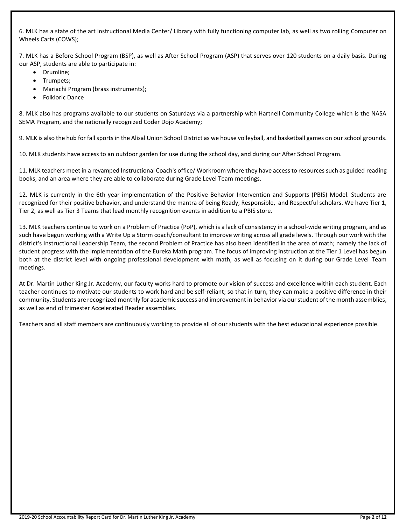6. MLK has a state of the art Instructional Media Center/ Library with fully functioning computer lab, as well as two rolling Computer on Wheels Carts (COWS);

7. MLK has a Before School Program (BSP), as well as After School Program (ASP) that serves over 120 students on a daily basis. During our ASP, students are able to participate in:

- Drumline;
- Trumpets;
- Mariachi Program (brass instruments);
- Folkloric Dance

8. MLK also has programs available to our students on Saturdays via a partnership with Hartnell Community College which is the NASA SEMA Program, and the nationally recognized Coder Dojo Academy;

9. MLK is also the hub for fall sports in the Alisal Union School District as we house volleyball, and basketball games on our school grounds.

10. MLK students have access to an outdoor garden for use during the school day, and during our After School Program.

11. MLK teachers meet in a revamped Instructional Coach's office/ Workroom where they have access to resources such as guided reading books, and an area where they are able to collaborate during Grade Level Team meetings.

12. MLK is currently in the 6th year implementation of the Positive Behavior Intervention and Supports (PBIS) Model. Students are recognized for their positive behavior, and understand the mantra of being Ready, Responsible, and Respectful scholars. We have Tier 1, Tier 2, as well as Tier 3 Teams that lead monthly recognition events in addition to a PBIS store.

13. MLK teachers continue to work on a Problem of Practice (PoP), which is a lack of consistency in a school-wide writing program, and as such have begun working with a Write Up a Storm coach/consultant to improve writing across all grade levels. Through our work with the district's Instructional Leadership Team, the second Problem of Practice has also been identified in the area of math; namely the lack of student progress with the implementation of the Eureka Math program. The focus of improving instruction at the Tier 1 Level has begun both at the district level with ongoing professional development with math, as well as focusing on it during our Grade Level Team meetings.

At Dr. Martin Luther King Jr. Academy, our faculty works hard to promote our vision of success and excellence within each student. Each teacher continues to motivate our students to work hard and be self-reliant; so that in turn, they can make a positive difference in their community. Students are recognized monthly for academic success and improvement in behavior via our student of the month assemblies, as well as end of trimester Accelerated Reader assemblies.

Teachers and all staff members are continuously working to provide all of our students with the best educational experience possible.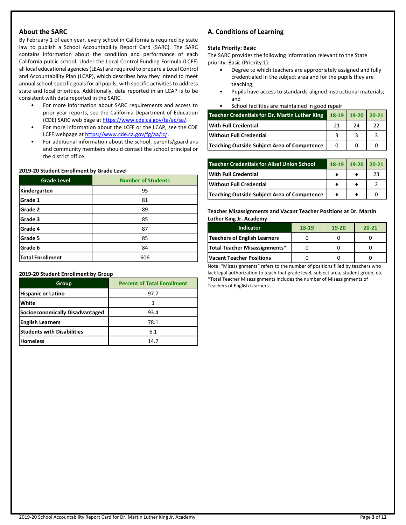## **About the SARC**

By February 1 of each year, every school in California is required by state law to publish a School Accountability Report Card (SARC). The SARC contains information about the condition and performance of each California public school. Under the Local Control Funding Formula (LCFF) all local educational agencies (LEAs) are required to prepare a Local Control and Accountability Plan (LCAP), which describes how they intend to meet annual school-specific goals for all pupils, with specific activities to address state and local priorities. Additionally, data reported in an LCAP is to be consistent with data reported in the SARC.

- For more information about SARC requirements and access to prior year reports, see the California Department of Education (CDE) SARC web page at [https://www.cde.ca.gov/ta/ac/sa/.](https://www.cde.ca.gov/ta/ac/sa/)
- For more information about the LCFF or the LCAP, see the CDE LCFF webpage a[t https://www.cde.ca.gov/fg/aa/lc/.](https://www.cde.ca.gov/fg/aa/lc/)
- For additional information about the school, parents/guardians and community members should contact the school principal or the district office.

#### **2019-20 Student Enrollment by Grade Level**

| <b>Grade Level</b>      | <b>Number of Students</b> |
|-------------------------|---------------------------|
| Kindergarten            | 95                        |
| Grade 1                 | 81                        |
| Grade 2                 | 89                        |
| Grade 3                 | 85                        |
| Grade 4                 | 87                        |
| Grade 5                 | 85                        |
| Grade 6                 | 84                        |
| <b>Total Enrollment</b> | 606                       |

#### **2019-20 Student Enrollment by Group**

| Group                             | <b>Percent of Total Enrollment</b> |
|-----------------------------------|------------------------------------|
| <b>Hispanic or Latino</b>         | 97.7                               |
| White                             | 1                                  |
| Socioeconomically Disadvantaged   | 93.4                               |
| <b>English Learners</b>           | 78.1                               |
| <b>Students with Disabilities</b> | 6.1                                |
| <b>Homeless</b>                   | 14 7                               |

## **A. Conditions of Learning**

## **State Priority: Basic**

The SARC provides the following information relevant to the State priority: Basic (Priority 1):

- Degree to which teachers are appropriately assigned and fully credentialed in the subject area and for the pupils they are teaching;
- Pupils have access to standards-aligned instructional materials; and
- School facilities are maintained in good repair

| <b>Teacher Credentials for Dr. Martin Luther King</b> | 18-19 19-20 20-21 |    |  |
|-------------------------------------------------------|-------------------|----|--|
| <b>With Full Credential</b>                           |                   | 24 |  |
| <b>IWithout Full Credential</b>                       |                   |    |  |
| Teaching Outside Subject Area of Competence           |                   |    |  |

| Teacher Credentials for Alisal Union School | 18-19 19-20 20-21 |    |
|---------------------------------------------|-------------------|----|
| <b>With Full Credential</b>                 |                   | 23 |
| <b>Without Full Credential</b>              |                   |    |
| Teaching Outside Subject Area of Competence |                   |    |

**Teacher Misassignments and Vacant Teacher Positions at Dr. Martin Luther King Jr. Academy**

| Indicator                           | 18-19 | 19-20 | $20 - 21$ |
|-------------------------------------|-------|-------|-----------|
| <b>Teachers of English Learners</b> |       |       |           |
| Total Teacher Misassignments*       |       |       |           |
| <b>Vacant Teacher Positions</b>     |       |       |           |

Note: "Misassignments" refers to the number of positions filled by teachers who lack legal authorization to teach that grade level, subject area, student group, etc. \*Total Teacher Misassignments includes the number of Misassignments of Teachers of English Learners.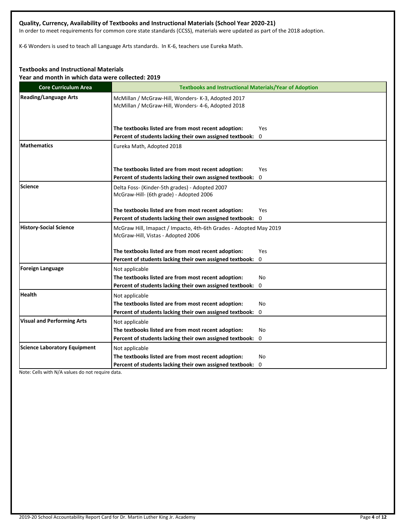## **Quality, Currency, Availability of Textbooks and Instructional Materials (School Year 2020-21)**

In order to meet requirements for common core state standards (CCSS), materials were updated as part of the 2018 adoption.

K-6 Wonders is used to teach all Language Arts standards. In K-6, teachers use Eureka Math.

## **Textbooks and Instructional Materials**

**Year and month in which data were collected: 2019**

| <b>Core Curriculum Area</b>         | <b>Textbooks and Instructional Materials/Year of Adoption</b>                                            |
|-------------------------------------|----------------------------------------------------------------------------------------------------------|
| <b>Reading/Language Arts</b>        | McMillan / McGraw-Hill, Wonders- K-3, Adopted 2017<br>McMillan / McGraw-Hill, Wonders- 4-6, Adopted 2018 |
|                                     | The textbooks listed are from most recent adoption:<br>Yes                                               |
|                                     | Percent of students lacking their own assigned textbook:<br>0                                            |
| <b>Mathematics</b>                  | Eureka Math, Adopted 2018                                                                                |
|                                     | The textbooks listed are from most recent adoption:<br>Yes                                               |
|                                     | Percent of students lacking their own assigned textbook:<br>$\Omega$                                     |
| Science                             | Delta Foss- (Kinder-5th grades) - Adopted 2007<br>McGraw-Hill- (6th grade) - Adopted 2006                |
|                                     | The textbooks listed are from most recent adoption:<br>Yes                                               |
|                                     | Percent of students lacking their own assigned textbook: 0                                               |
| <b>History-Social Science</b>       | McGraw Hill, Imapact / Impacto, 4th-6th Grades - Adopted May 2019<br>McGraw-Hill, Vistas - Adopted 2006  |
|                                     | The textbooks listed are from most recent adoption:<br>Yes                                               |
|                                     | Percent of students lacking their own assigned textbook: 0                                               |
| <b>Foreign Language</b>             | Not applicable                                                                                           |
|                                     | The textbooks listed are from most recent adoption:<br>No                                                |
|                                     | Percent of students lacking their own assigned textbook: 0                                               |
| <b>Health</b>                       | Not applicable                                                                                           |
|                                     | The textbooks listed are from most recent adoption:<br><b>No</b>                                         |
|                                     | Percent of students lacking their own assigned textbook:<br>0                                            |
| <b>Visual and Performing Arts</b>   | Not applicable                                                                                           |
|                                     | The textbooks listed are from most recent adoption:<br>No                                                |
|                                     | Percent of students lacking their own assigned textbook: 0                                               |
| <b>Science Laboratory Equipment</b> | Not applicable                                                                                           |
|                                     | The textbooks listed are from most recent adoption:<br>No                                                |
|                                     | Percent of students lacking their own assigned textbook: 0                                               |

Note: Cells with N/A values do not require data.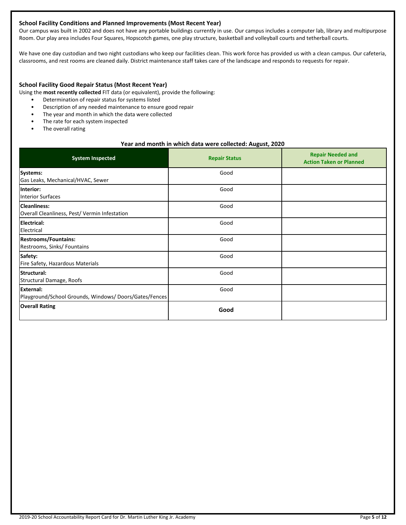## **School Facility Conditions and Planned Improvements (Most Recent Year)**

Our campus was built in 2002 and does not have any portable buildings currently in use. Our campus includes a computer lab, library and multipurpose Room. Our play area includes Four Squares, Hopscotch games, one play structure, basketball and volleyball courts and tetherball courts.

We have one day custodian and two night custodians who keep our facilities clean. This work force has provided us with a clean campus. Our cafeteria, classrooms, and rest rooms are cleaned daily. District maintenance staff takes care of the landscape and responds to requests for repair.

#### **School Facility Good Repair Status (Most Recent Year)**

Using the **most recently collected** FIT data (or equivalent), provide the following:

- Determination of repair status for systems listed
- Description of any needed maintenance to ensure good repair
- The year and month in which the data were collected
- The rate for each system inspected
- The overall rating

#### **Year and month in which data were collected: August, 2020**

| <b>System Inspected</b>                                                   | <b>Repair Status</b> | <b>Repair Needed and</b><br><b>Action Taken or Planned</b> |
|---------------------------------------------------------------------------|----------------------|------------------------------------------------------------|
| Systems:<br>Gas Leaks, Mechanical/HVAC, Sewer                             | Good                 |                                                            |
| Interior:<br><b>Interior Surfaces</b>                                     | Good                 |                                                            |
| <b>Cleanliness:</b><br>Overall Cleanliness, Pest/Vermin Infestation       | Good                 |                                                            |
| <b>Electrical:</b><br>Electrical                                          | Good                 |                                                            |
| <b>Restrooms/Fountains:</b><br>Restrooms, Sinks/ Fountains                | Good                 |                                                            |
| Safety:<br>Fire Safety, Hazardous Materials                               | Good                 |                                                            |
| Structural:<br>Structural Damage, Roofs                                   | Good                 |                                                            |
| <b>External:</b><br>Playground/School Grounds, Windows/Doors/Gates/Fences | Good                 |                                                            |
| <b>Overall Rating</b>                                                     | Good                 |                                                            |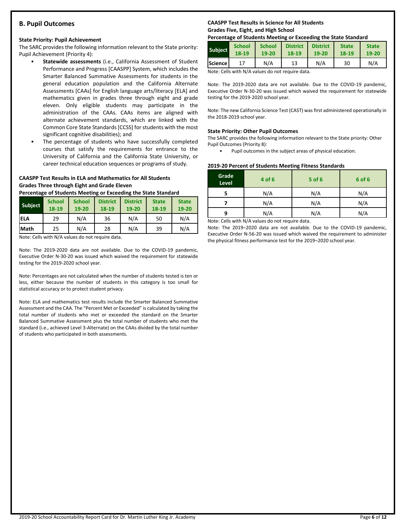## **B. Pupil Outcomes**

#### **State Priority: Pupil Achievement**

The SARC provides the following information relevant to the State priority: Pupil Achievement (Priority 4):

- **Statewide assessments** (i.e., California Assessment of Student Performance and Progress [CAASPP] System, which includes the Smarter Balanced Summative Assessments for students in the general education population and the California Alternate Assessments [CAAs] for English language arts/literacy [ELA] and mathematics given in grades three through eight and grade eleven. Only eligible students may participate in the administration of the CAAs. CAAs items are aligned with alternate achievement standards, which are linked with the Common Core State Standards [CCSS] for students with the most significant cognitive disabilities); and
- The percentage of students who have successfully completed courses that satisfy the requirements for entrance to the University of California and the California State University, or career technical education sequences or programs of study.

#### **CAASPP Test Results in ELA and Mathematics for All Students Grades Three through Eight and Grade Eleven**

**Percentage of Students Meeting or Exceeding the State Standard**

| <b>Subject</b> | <b>School</b><br>18-19 | <b>School</b><br>$19 - 20$ | <b>District</b><br>18-19 | <b>District</b><br>$19 - 20$ | <b>State</b><br>18-19 | <b>State</b><br>19-20 |
|----------------|------------------------|----------------------------|--------------------------|------------------------------|-----------------------|-----------------------|
| iela           | 29                     | N/A                        | 36                       | N/A                          | 50                    | N/A                   |
| <b>Math</b>    | 25                     | N/A                        | 28                       | N/A                          | 39                    | N/A                   |

Note: Cells with N/A values do not require data.

Note: The 2019-2020 data are not available. Due to the COVID-19 pandemic, Executive Order N-30-20 was issued which waived the requirement for statewide testing for the 2019-2020 school year.

Note: Percentages are not calculated when the number of students tested is ten or less, either because the number of students in this category is too small for statistical accuracy or to protect student privacy.

Note: ELA and mathematics test results include the Smarter Balanced Summative Assessment and the CAA. The "Percent Met or Exceeded" is calculated by taking the total number of students who met or exceeded the standard on the Smarter Balanced Summative Assessment plus the total number of students who met the standard (i.e., achieved Level 3-Alternate) on the CAAs divided by the total number of students who participated in both assessments.

## **CAASPP Test Results in Science for All Students Grades Five, Eight, and High School**

#### **Percentage of Students Meeting or Exceeding the State Standard**

| <b>Subject</b> | <b>School</b> | <b>School</b> | <b>District</b> | <b>District</b> | <b>State</b> | <b>State</b> |
|----------------|---------------|---------------|-----------------|-----------------|--------------|--------------|
|                | 18-19         | 19-20         | 18-19           | $19 - 20$       | 18-19        | 19-20        |
| Science        |               | N/A           | 13              | N/A             | 30           | N/A          |

Note: Cells with N/A values do not require data.

Note: The 2019-2020 data are not available. Due to the COVID-19 pandemic, Executive Order N-30-20 was issued which waived the requirement for statewide testing for the 2019-2020 school year.

Note: The new California Science Test (CAST) was first administered operationally in the 2018-2019 school year.

#### **State Priority: Other Pupil Outcomes**

The SARC provides the following information relevant to the State priority: Other Pupil Outcomes (Priority 8):

• Pupil outcomes in the subject areas of physical education.

#### **2019-20 Percent of Students Meeting Fitness Standards**

| Grade<br>Level | 4 of 6                                                                                                                                                                                                                                    | $5$ of 6 | 6 of 6 |
|----------------|-------------------------------------------------------------------------------------------------------------------------------------------------------------------------------------------------------------------------------------------|----------|--------|
|                | N/A                                                                                                                                                                                                                                       | N/A      | N/A    |
|                | N/A                                                                                                                                                                                                                                       | N/A      | N/A    |
| q              | N/A                                                                                                                                                                                                                                       | N/A      | N/A    |
|                | $\mathbf{A}$ is a set of $\mathbf{A}$ if the set of $\mathbf{A}$ and is a set of the set of the set of the set of the set of the set of the set of the set of the set of the set of the set of the set of the set of the set of the set o |          |        |

Note: Cells with N/A values do not require data.

Note: The 2019–2020 data are not available. Due to the COVID-19 pandemic, Executive Order N-56-20 was issued which waived the requirement to administer the physical fitness performance test for the 2019–2020 school year.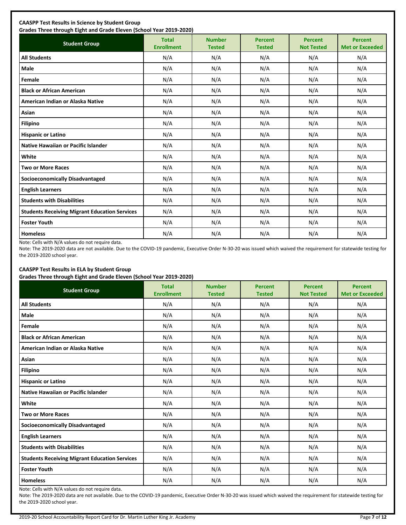| <b>Student Group</b>                                 | <b>Total</b><br><b>Enrollment</b> | <b>Number</b><br><b>Tested</b> | <b>Percent</b><br><b>Tested</b> | <b>Percent</b><br><b>Not Tested</b> | <b>Percent</b><br><b>Met or Exceeded</b> |
|------------------------------------------------------|-----------------------------------|--------------------------------|---------------------------------|-------------------------------------|------------------------------------------|
| <b>All Students</b>                                  | N/A                               | N/A                            | N/A                             | N/A                                 | N/A                                      |
| Male                                                 | N/A                               | N/A                            | N/A                             | N/A                                 | N/A                                      |
| Female                                               | N/A                               | N/A                            | N/A                             | N/A                                 | N/A                                      |
| <b>Black or African American</b>                     | N/A                               | N/A                            | N/A                             | N/A                                 | N/A                                      |
| American Indian or Alaska Native                     | N/A                               | N/A                            | N/A                             | N/A                                 | N/A                                      |
| Asian                                                | N/A                               | N/A                            | N/A                             | N/A                                 | N/A                                      |
| <b>Filipino</b>                                      | N/A                               | N/A                            | N/A                             | N/A                                 | N/A                                      |
| <b>Hispanic or Latino</b>                            | N/A                               | N/A                            | N/A                             | N/A                                 | N/A                                      |
| Native Hawaiian or Pacific Islander                  | N/A                               | N/A                            | N/A                             | N/A                                 | N/A                                      |
| White                                                | N/A                               | N/A                            | N/A                             | N/A                                 | N/A                                      |
| <b>Two or More Races</b>                             | N/A                               | N/A                            | N/A                             | N/A                                 | N/A                                      |
| <b>Socioeconomically Disadvantaged</b>               | N/A                               | N/A                            | N/A                             | N/A                                 | N/A                                      |
| <b>English Learners</b>                              | N/A                               | N/A                            | N/A                             | N/A                                 | N/A                                      |
| <b>Students with Disabilities</b>                    | N/A                               | N/A                            | N/A                             | N/A                                 | N/A                                      |
| <b>Students Receiving Migrant Education Services</b> | N/A                               | N/A                            | N/A                             | N/A                                 | N/A                                      |
| <b>Foster Youth</b>                                  | N/A                               | N/A                            | N/A                             | N/A                                 | N/A                                      |
| <b>Homeless</b>                                      | N/A                               | N/A                            | N/A                             | N/A                                 | N/A                                      |

Note: Cells with N/A values do not require data.

Note: The 2019-2020 data are not available. Due to the COVID-19 pandemic, Executive Order N-30-20 was issued which waived the requirement for statewide testing for the 2019-2020 school year.

## **CAASPP Test Results in ELA by Student Group**

**Grades Three through Eight and Grade Eleven (School Year 2019-2020)**

| <b>Student Group</b>                                 | <b>Total</b><br><b>Enrollment</b> | <b>Number</b><br><b>Tested</b> | <b>Percent</b><br><b>Tested</b> | <b>Percent</b><br><b>Not Tested</b> | <b>Percent</b><br><b>Met or Exceeded</b> |
|------------------------------------------------------|-----------------------------------|--------------------------------|---------------------------------|-------------------------------------|------------------------------------------|
| <b>All Students</b>                                  | N/A                               | N/A                            | N/A                             | N/A                                 | N/A                                      |
| Male                                                 | N/A                               | N/A                            | N/A                             | N/A                                 | N/A                                      |
| Female                                               | N/A                               | N/A                            | N/A                             | N/A                                 | N/A                                      |
| <b>Black or African American</b>                     | N/A                               | N/A                            | N/A                             | N/A                                 | N/A                                      |
| American Indian or Alaska Native                     | N/A                               | N/A                            | N/A                             | N/A                                 | N/A                                      |
| Asian                                                | N/A                               | N/A                            | N/A                             | N/A                                 | N/A                                      |
| <b>Filipino</b>                                      | N/A                               | N/A                            | N/A                             | N/A                                 | N/A                                      |
| <b>Hispanic or Latino</b>                            | N/A                               | N/A                            | N/A                             | N/A                                 | N/A                                      |
| Native Hawaiian or Pacific Islander                  | N/A                               | N/A                            | N/A                             | N/A                                 | N/A                                      |
| White                                                | N/A                               | N/A                            | N/A                             | N/A                                 | N/A                                      |
| <b>Two or More Races</b>                             | N/A                               | N/A                            | N/A                             | N/A                                 | N/A                                      |
| <b>Socioeconomically Disadvantaged</b>               | N/A                               | N/A                            | N/A                             | N/A                                 | N/A                                      |
| <b>English Learners</b>                              | N/A                               | N/A                            | N/A                             | N/A                                 | N/A                                      |
| <b>Students with Disabilities</b>                    | N/A                               | N/A                            | N/A                             | N/A                                 | N/A                                      |
| <b>Students Receiving Migrant Education Services</b> | N/A                               | N/A                            | N/A                             | N/A                                 | N/A                                      |
| <b>Foster Youth</b>                                  | N/A                               | N/A                            | N/A                             | N/A                                 | N/A                                      |
| <b>Homeless</b>                                      | N/A                               | N/A                            | N/A                             | N/A                                 | N/A                                      |

Note: Cells with N/A values do not require data.

Note: The 2019-2020 data are not available. Due to the COVID-19 pandemic, Executive Order N-30-20 was issued which waived the requirement for statewide testing for the 2019-2020 school year.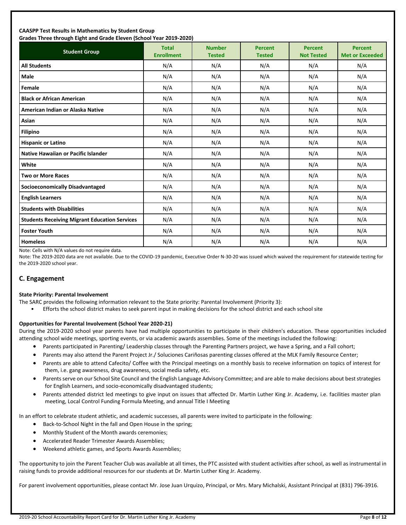#### **CAASPP Test Results in Mathematics by Student Group Grades Three through Eight and Grade Eleven (School Year 2019-2020)**

| andes mice unbagn agut ana draac aicten foundul rear abab ababy<br><b>Student Group</b> | <b>Total</b><br><b>Enrollment</b> | <b>Number</b><br><b>Tested</b> | <b>Percent</b><br><b>Tested</b> | <b>Percent</b><br><b>Not Tested</b> | <b>Percent</b><br><b>Met or Exceeded</b> |
|-----------------------------------------------------------------------------------------|-----------------------------------|--------------------------------|---------------------------------|-------------------------------------|------------------------------------------|
| <b>All Students</b>                                                                     | N/A                               | N/A                            | N/A                             | N/A                                 | N/A                                      |
| <b>Male</b>                                                                             | N/A                               | N/A                            | N/A                             | N/A                                 | N/A                                      |
| Female                                                                                  | N/A                               | N/A                            | N/A                             | N/A                                 | N/A                                      |
| <b>Black or African American</b>                                                        | N/A                               | N/A                            | N/A                             | N/A                                 | N/A                                      |
| American Indian or Alaska Native                                                        | N/A                               | N/A                            | N/A                             | N/A                                 | N/A                                      |
| Asian                                                                                   | N/A                               | N/A                            | N/A                             | N/A                                 | N/A                                      |
| <b>Filipino</b>                                                                         | N/A                               | N/A                            | N/A                             | N/A                                 | N/A                                      |
| <b>Hispanic or Latino</b>                                                               | N/A                               | N/A                            | N/A                             | N/A                                 | N/A                                      |
| <b>Native Hawaiian or Pacific Islander</b>                                              | N/A                               | N/A                            | N/A                             | N/A                                 | N/A                                      |
| White                                                                                   | N/A                               | N/A                            | N/A                             | N/A                                 | N/A                                      |
| <b>Two or More Races</b>                                                                | N/A                               | N/A                            | N/A                             | N/A                                 | N/A                                      |
| <b>Socioeconomically Disadvantaged</b>                                                  | N/A                               | N/A                            | N/A                             | N/A                                 | N/A                                      |
| <b>English Learners</b>                                                                 | N/A                               | N/A                            | N/A                             | N/A                                 | N/A                                      |
| <b>Students with Disabilities</b>                                                       | N/A                               | N/A                            | N/A                             | N/A                                 | N/A                                      |
| <b>Students Receiving Migrant Education Services</b>                                    | N/A                               | N/A                            | N/A                             | N/A                                 | N/A                                      |
| <b>Foster Youth</b>                                                                     | N/A                               | N/A                            | N/A                             | N/A                                 | N/A                                      |
| <b>Homeless</b>                                                                         | N/A                               | N/A                            | N/A                             | N/A                                 | N/A                                      |

Note: Cells with N/A values do not require data.

Note: The 2019-2020 data are not available. Due to the COVID-19 pandemic, Executive Order N-30-20 was issued which waived the requirement for statewide testing for the 2019-2020 school year.

## **C. Engagement**

#### **State Priority: Parental Involvement**

- The SARC provides the following information relevant to the State priority: Parental Involvement (Priority 3):
	- Efforts the school district makes to seek parent input in making decisions for the school district and each school site

#### **Opportunities for Parental Involvement (School Year 2020-21)**

During the 2019-2020 school year parents have had multiple opportunities to participate in their children's education. These opportunities included attending school wide meetings, sporting events, or via academic awards assemblies. Some of the meetings included the following:

- Parents participated in Parenting/ Leadership classes through the Parenting Partners project, we have a Spring, and a Fall cohort;
- Parents may also attend the Parent Project Jr./ Soluciones Cariñosas parenting classes offered at the MLK Family Resource Center;
- Parents are able to attend Cafecito/ Coffee with the Principal meetings on a monthly basis to receive information on topics of interest for them, i.e. gang awareness, drug awareness, social media safety, etc.
- Parents serve on our School Site Council and the English Language Advisory Committee; and are able to make decisions about best strategies for English Learners, and socio-economically disadvantaged students;
- Parents attended district led meetings to give input on issues that affected Dr. Martin Luther King Jr. Academy, i.e. facilities master plan meeting, Local Control Funding Formula Meeting, and annual Title I Meeting

In an effort to celebrate student athletic, and academic successes, all parents were invited to participate in the following:

- Back-to-School Night in the fall and Open House in the spring;
- Monthly Student of the Month awards ceremonies;
- Accelerated Reader Trimester Awards Assemblies;
- Weekend athletic games, and Sports Awards Assemblies;

The opportunity to join the Parent Teacher Club was available at all times, the PTC assisted with student activities after school, as well as instrumental in raising funds to provide additional resources for our students at Dr. Martin Luther King Jr. Academy.

For parent involvement opportunities, please contact Mr. Jose Juan Urquizo, Principal, or Mrs. Mary Michalski, Assistant Principal at (831) 796-3916.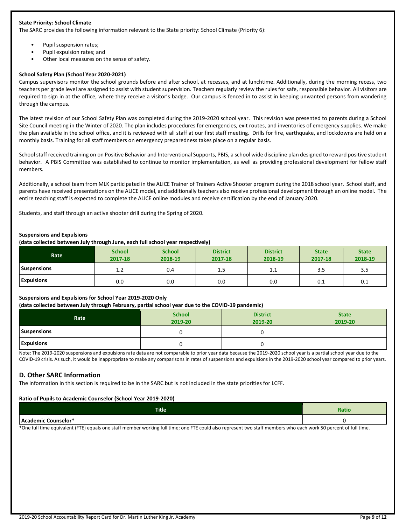#### **State Priority: School Climate**

The SARC provides the following information relevant to the State priority: School Climate (Priority 6):

- Pupil suspension rates;
- Pupil expulsion rates; and
- Other local measures on the sense of safety.

#### **School Safety Plan (School Year 2020-2021)**

Campus supervisors monitor the school grounds before and after school, at recesses, and at lunchtime. Additionally, during the morning recess, two teachers per grade level are assigned to assist with student supervision. Teachers regularly review the rules for safe, responsible behavior. All visitors are required to sign in at the office, where they receive a visitor's badge. Our campus is fenced in to assist in keeping unwanted persons from wandering through the campus.

The latest revision of our School Safety Plan was completed during the 2019-2020 school year. This revision was presented to parents during a School Site Council meeting in the Winter of 2020. The plan includes procedures for emergencies, exit routes, and inventories of emergency supplies. We make the plan available in the school office, and it is reviewed with all staff at our first staff meeting. Drills for fire, earthquake, and lockdowns are held on a monthly basis. Training for all staff members on emergency preparedness takes place on a regular basis.

School staff received training on on Positive Behavior and Interventional Supports, PBIS, a school wide discipline plan designed to reward positive student behavior. A PBIS Committee was established to continue to monitor implementation, as well as providing professional development for fellow staff members.

Additionally, a school team from MLK participated in the ALICE Trainer of Trainers Active Shooter program during the 2018 school year. School staff, and parents have received presentations on the ALICE model, and additionally teachers also receive professional development through an online model. The entire teaching staff is expected to complete the ALICE online modules and receive certification by the end of January 2020.

Students, and staff through an active shooter drill during the Spring of 2020.

#### **Suspensions and Expulsions**

**(data collected between July through June, each full school year respectively)**

| Rate               | <b>School</b><br>2017-18 | <b>School</b><br>2018-19 | <b>District</b><br>2017-18 | <b>District</b><br>2018-19 | <b>State</b><br>2017-18 | <b>State</b><br>2018-19 |
|--------------------|--------------------------|--------------------------|----------------------------|----------------------------|-------------------------|-------------------------|
| <b>Suspensions</b> | 1.2                      | 0.4                      | $1.5\,$                    | 1.1                        | 3.5                     | 3.5                     |
| <b>Expulsions</b>  | 0.0                      | 0.0                      | 0.0                        | 0.0                        | 0.1                     | 0.1                     |

## **Suspensions and Expulsions for School Year 2019-2020 Only**

#### **(data collected between July through February, partial school year due to the COVID-19 pandemic)**

| Rate               | <b>School</b><br>2019-20 | <b>District</b><br>2019-20 | <b>State</b><br>2019-20 |
|--------------------|--------------------------|----------------------------|-------------------------|
| <b>Suspensions</b> |                          |                            |                         |
| <b>Expulsions</b>  |                          |                            |                         |

Note: The 2019-2020 suspensions and expulsions rate data are not comparable to prior year data because the 2019-2020 school year is a partial school year due to the COVID-19 crisis. As such, it would be inappropriate to make any comparisons in rates of suspensions and expulsions in the 2019-2020 school year compared to prior years.

## **D. Other SARC Information**

The information in this section is required to be in the SARC but is not included in the state priorities for LCFF.

#### **Ratio of Pupils to Academic Counselor (School Year 2019-2020)**

| <b>Title</b>        | Ratio |
|---------------------|-------|
| Academic Counselor* |       |

\*One full time equivalent (FTE) equals one staff member working full time; one FTE could also represent two staff members who each work 50 percent of full time.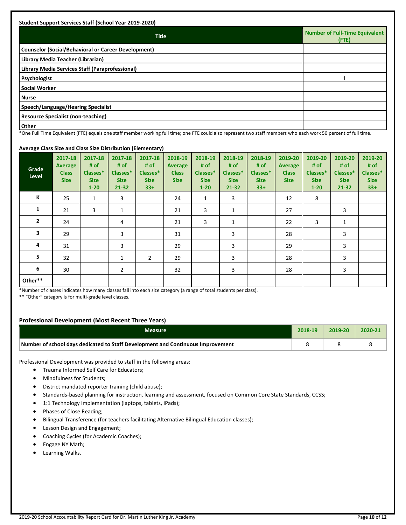| <b>Student Support Services Staff (School Year 2019-2020)</b> |                                         |
|---------------------------------------------------------------|-----------------------------------------|
| <b>Title</b>                                                  | Number of Full-Time Equivalent<br>(FTE) |
| <b>Counselor (Social/Behavioral or Career Development)</b>    |                                         |
| Library Media Teacher (Librarian)                             |                                         |
| Library Media Services Staff (Paraprofessional)               |                                         |
| Psychologist                                                  |                                         |
| <b>Social Worker</b>                                          |                                         |
| <b>Nurse</b>                                                  |                                         |
| Speech/Language/Hearing Specialist                            |                                         |
| <b>Resource Specialist (non-teaching)</b>                     |                                         |
| <b>Other</b><br>$\cdots$<br>.                                 | $\cdot$ $ -$                            |

\*One Full Time Equivalent (FTE) equals one staff member working full time; one FTE could also represent two staff members who each work 50 percent of full time.

## **Average Class Size and Class Size Distribution (Elementary)**

| $\bullet$ - - - -<br>Grade<br>Level | 2017-18<br><b>Average</b><br><b>Class</b><br><b>Size</b> | 2017-18<br># of<br>Classes*<br><b>Size</b><br>$1 - 20$ | 2017-18<br># of<br>Classes*<br><b>Size</b><br>$21 - 32$ | $\sim$ $\prime$<br>2017-18<br># of<br>Classes*<br><b>Size</b><br>$33+$ | 2018-19<br><b>Average</b><br><b>Class</b><br><b>Size</b> | 2018-19<br># of<br>Classes*<br><b>Size</b><br>$1 - 20$ | 2018-19<br># of<br>Classes*<br><b>Size</b><br>$21 - 32$ | 2018-19<br># of<br>Classes*<br><b>Size</b><br>$33+$ | 2019-20<br><b>Average</b><br><b>Class</b><br><b>Size</b> | 2019-20<br># of<br>Classes*<br><b>Size</b><br>$1 - 20$ | 2019-20<br># of<br>Classes*<br><b>Size</b><br>$21 - 32$ | 2019-20<br># of<br>Classes*<br><b>Size</b><br>$33+$ |
|-------------------------------------|----------------------------------------------------------|--------------------------------------------------------|---------------------------------------------------------|------------------------------------------------------------------------|----------------------------------------------------------|--------------------------------------------------------|---------------------------------------------------------|-----------------------------------------------------|----------------------------------------------------------|--------------------------------------------------------|---------------------------------------------------------|-----------------------------------------------------|
| Κ                                   | 25                                                       | $\mathbf{1}$                                           | 3                                                       |                                                                        | 24                                                       | $\mathbf{1}$                                           | 3                                                       |                                                     | 12                                                       | 8                                                      |                                                         |                                                     |
| 1                                   | 21                                                       | 3                                                      | 1                                                       |                                                                        | 21                                                       | 3                                                      | 1                                                       |                                                     | 27                                                       |                                                        | 3                                                       |                                                     |
| $\mathbf{2}$                        | 24                                                       |                                                        | 4                                                       |                                                                        | 21                                                       | 3                                                      | $\mathbf{1}$                                            |                                                     | 22                                                       | 3                                                      | 1                                                       |                                                     |
| 3                                   | 29                                                       |                                                        | 3                                                       |                                                                        | 31                                                       |                                                        | 3                                                       |                                                     | 28                                                       |                                                        | 3                                                       |                                                     |
| 4                                   | 31                                                       |                                                        | 3                                                       |                                                                        | 29                                                       |                                                        | 3                                                       |                                                     | 29                                                       |                                                        | 3                                                       |                                                     |
| 5                                   | 32                                                       |                                                        | 1                                                       | 2                                                                      | 29                                                       |                                                        | 3                                                       |                                                     | 28                                                       |                                                        | 3                                                       |                                                     |
| 6                                   | 30                                                       |                                                        | $\overline{2}$                                          |                                                                        | 32                                                       |                                                        | 3                                                       |                                                     | 28                                                       |                                                        | 3                                                       |                                                     |
| Other**                             |                                                          |                                                        |                                                         |                                                                        |                                                          |                                                        |                                                         |                                                     |                                                          |                                                        |                                                         |                                                     |

\*Number of classes indicates how many classes fall into each size category (a range of total students per class).

\*\* "Other" category is for multi-grade level classes.

## **Professional Development (Most Recent Three Years)**

| Measure                                                                         | 2018-19 | $7019 - 20$ | 2020-21 |
|---------------------------------------------------------------------------------|---------|-------------|---------|
| Number of school days dedicated to Staff Development and Continuous Improvement |         |             |         |

Professional Development was provided to staff in the following areas:

- Trauma Informed Self Care for Educators;
- Mindfulness for Students;
- District mandated reporter training (child abuse);
- Standards-based planning for instruction, learning and assessment, focused on Common Core State Standards, CCSS;
- 1:1 Technology Implementation (laptops, tablets, iPads);
- Phases of Close Reading;
- Bilingual Transference (for teachers facilitating Alternative Bilingual Education classes);
- Lesson Design and Engagement;
- Coaching Cycles (for Academic Coaches);
- Engage NY Math;
- Learning Walks.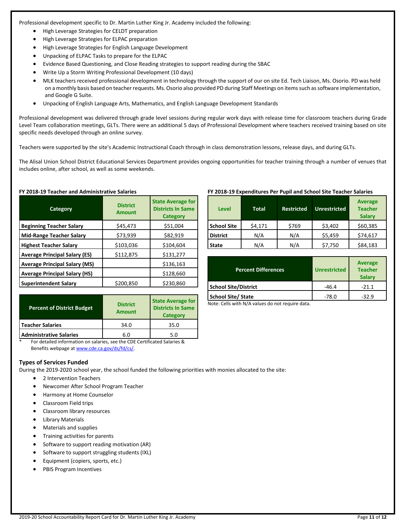Professional development specific to Dr. Martin Luther King Jr. Academy included the following:

- High Leverage Strategies for CELDT preparation
- High Leverage Strategies for ELPAC preparation
- High Leverage Strategies for English Language Development
- Unpacking of ELPAC Tasks to prepare for the ELPAC
- Evidence Based Questioning, and Close Reading strategies to support reading during the SBAC
- Write Up a Storm Writing Professional Development (10 days)
- MLK teachers received professional development in technology through the support of our on site Ed. Tech Liaison, Ms. Osorio. PD was held on a monthly basis based on teacher requests. Ms. Osorio also provided PD during Staff Meetings on items such as software implementation, and Google G Suite.
- Unpacking of English Language Arts, Mathematics, and English Language Development Standards

Professional development was delivered through grade level sessions during regular work days with release time for classroom teachers during Grade Level Team collaboration meetings, GLTs. There were an additional 5 days of Professional Development where teachers received training based on site specific needs developed through an online survey.

Teachers were supported by the site's Academic Instructional Coach through in class demonstration lessons, release days, and during GLTs.

The Alisal Union School District Educational Services Department provides ongoing opportunities for teacher training through a number of venues that includes online, after school, as well as some weekends.

|  |  |  |  | FY 2018-19 Teacher and Administrative Salaries |  |
|--|--|--|--|------------------------------------------------|--|
|--|--|--|--|------------------------------------------------|--|

| Category                             | <b>District</b><br><b>Amount</b> | <b>State Average for</b><br><b>Districts In Same</b><br><b>Category</b> |
|--------------------------------------|----------------------------------|-------------------------------------------------------------------------|
| <b>Beginning Teacher Salary</b>      | \$45,473                         | \$51,004                                                                |
| <b>Mid-Range Teacher Salary</b>      | \$73,939                         | \$82,919                                                                |
| <b>Highest Teacher Salary</b>        | \$103,036                        | \$104,604                                                               |
| <b>Average Principal Salary (ES)</b> | \$112,875                        | \$131,277                                                               |
| <b>Average Principal Salary (MS)</b> |                                  | \$136,163                                                               |
| <b>Average Principal Salary (HS)</b> |                                  | \$128,660                                                               |
| <b>Superintendent Salary</b>         | \$200,850                        | \$230,860                                                               |

| <b>Percent of District Budget</b> | <b>District</b><br><b>Amount</b> | <b>State Average for</b><br><b>Districts In Same</b><br><b>Category</b> |
|-----------------------------------|----------------------------------|-------------------------------------------------------------------------|
| Teacher Salaries                  | 34.0                             | 35.0                                                                    |
| <b>Administrative Salaries</b>    | 6.0                              | 5.0                                                                     |

#### For detailed information on salaries, see the CDE Certificated Salaries & Benefits webpage a[t www.cde.ca.gov/ds/fd/cs/.](http://www.cde.ca.gov/ds/fd/cs/)

## **Types of Services Funded**

During the 2019-2020 school year, the school funded the following priorities with monies allocated to the site:

- 2 Intervention Teachers
- Newcomer After School Program Teacher
- Harmony at Home Counselor
- Classroom Field trips
- Classroom library resources
- Library Materials
- Materials and supplies
- Training activities for parents
- Software to support reading motivation (AR)
- Software to support struggling students (IXL)
- Equipment (copiers, sports, etc.)
- PBIS Program Incentives

## **FY 2018-19 Expenditures Per Pupil and School Site Teacher Salaries**

| Level              | <b>Total</b> | <b>Restricted</b> | Unrestricted | <b>Average</b><br><b>Teacher</b><br><b>Salary</b> |
|--------------------|--------------|-------------------|--------------|---------------------------------------------------|
| <b>School Site</b> | \$4,171      | \$769             | \$3,402      | \$60,385                                          |
| <b>District</b>    | N/A          | N/A               | \$5,459      | \$74,617                                          |
| <b>State</b>       | N/A          | N/A               | \$7,750      | \$84,183                                          |

| <b>Percent Differences</b>  | <b>Unrestricted</b> | <b>Average</b><br><b>Teacher</b><br><b>Salary</b> |
|-----------------------------|---------------------|---------------------------------------------------|
| <b>School Site/District</b> | $-46.4$             | $-21.1$                                           |
| <b>School Site/ State</b>   | $-78.0$             | $-32.9$                                           |

Note: Cells with N/A values do not require data.